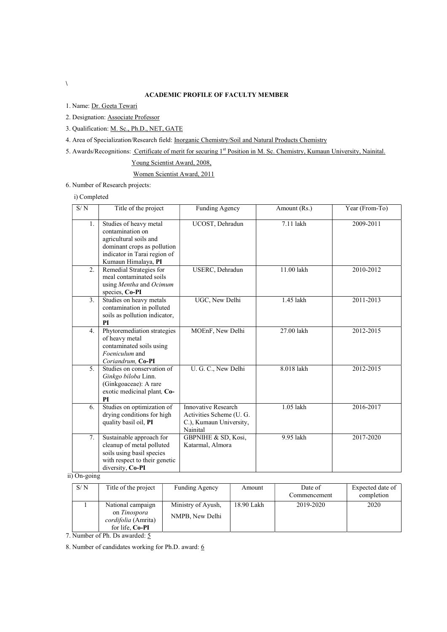# ACADEMIC PROFILE OF FACULTY MEMBER

1. Name: Dr. Geeta Tewari

2. Designation: Associate Professor

3. Qualification: M. Sc., Ph.D., NET, GATE

4. Area of Specialization/Research field: Inorganic Chemistry/Soil and Natural Products Chemistry

5. Awards/Recognitions: Certificate of merit for securing 1st Position in M. Sc. Chemistry, Kumaun University, Nainital.

Young Scientist Award, 2008,

Women Scientist Award, 2011

6. Number of Research projects:

i) Completed

| S/N | Title of the project                                                                                                                                       | Funding Agency                                                                        | Amount (Rs.) | Year (From-To) |
|-----|------------------------------------------------------------------------------------------------------------------------------------------------------------|---------------------------------------------------------------------------------------|--------------|----------------|
| 1.  | Studies of heavy metal<br>contamination on<br>agricultural soils and<br>dominant crops as pollution<br>indicator in Tarai region of<br>Kumaun Himalaya, PI | UCOST, Dehradun                                                                       | 7.11 lakh    | 2009-2011      |
| 2.  | Remedial Strategies for<br>meal contaminated soils<br>using Mentha and Ocimum<br>species, Co-PI                                                            | USERC, Dehradun                                                                       | 11.00 lakh   | 2010-2012      |
| 3.  | Studies on heavy metals<br>contamination in polluted<br>soils as pollution indicator,<br>PI                                                                | UGC, New Delhi                                                                        | 1.45 lakh    | 2011-2013      |
| 4.  | Phytoremediation strategies<br>of heavy metal<br>contaminated soils using<br>Foeniculum and<br>Coriandrum, Co-PI                                           | MOEnF, New Delhi                                                                      | 27.00 lakh   | 2012-2015      |
| 5.  | Studies on conservation of<br>Ginkgo biloba Linn.<br>(Ginkgoaceae): A rare<br>exotic medicinal plant, Co-<br>PI                                            | U. G. C., New Delhi                                                                   | 8.018 lakh   | 2012-2015      |
| 6.  | Studies on optimization of<br>drying conditions for high<br>quality basil oil, PI                                                                          | Innovative Research<br>Activities Scheme (U.G.<br>C.), Kumaun University,<br>Nainital | 1.05 lakh    | 2016-2017      |
| 7.  | Sustainable approach for<br>cleanup of metal polluted<br>soils using basil species<br>with respect to their genetic<br>diversity, Co-PI                    | GBPNIHE & SD, Kosi,<br>Katarmal, Almora                                               | 9.95 lakh    | 2017-2020      |

ii) On-going

| S/N | Title of the project                                                               | Funding Agency                        | Amount     | Date of<br>Commencement | Expected date of<br>completion |
|-----|------------------------------------------------------------------------------------|---------------------------------------|------------|-------------------------|--------------------------------|
|     | National campaign<br>on Tinospora<br><i>cordifolia</i> (Amrita)<br>for life. Co-PI | Ministry of Ayush,<br>NMPB, New Delhi | 18.90 Lakh | 2019-2020               | 2020                           |

7. Number of Ph. Ds awarded: 5

8. Number of candidates working for Ph.D. award:  $\underline{6}$ 

 $\lambda$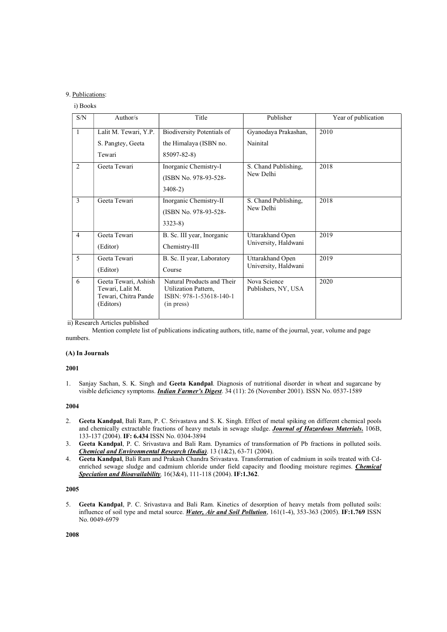# 9. Publications:

### i) Books

| S/N                      | Author/ $s$                                                                   | Title                                                                                       | Publisher                                | Year of publication |
|--------------------------|-------------------------------------------------------------------------------|---------------------------------------------------------------------------------------------|------------------------------------------|---------------------|
| $\mathbf{1}$             | Lalit M. Tewari, Y.P.<br>S. Pangtey, Geeta<br>Tewari                          | Biodiversity Potentials of<br>the Himalaya (ISBN no.<br>85097-82-8)                         | Gyanodaya Prakashan,<br>Nainital         | 2010                |
| 2                        | Geeta Tewari                                                                  | Inorganic Chemistry-I<br>(ISBN No. 978-93-528-<br>$3408-2)$                                 | S. Chand Publishing,<br>New Delhi        | 2018                |
| $\mathbf{3}$             | Geeta Tewari                                                                  | Inorganic Chemistry-II<br>(ISBN No. 978-93-528-<br>$3323-8$                                 | S. Chand Publishing,<br>New Delhi        | 2018                |
| $\overline{4}$           | Geeta Tewari<br>(Editor)                                                      | B. Sc. III year, Inorganic<br>Chemistry-III                                                 | Uttarakhand Open<br>University, Haldwani | 2019                |
| $\overline{\phantom{0}}$ | Geeta Tewari<br>(Editor)                                                      | B. Sc. II year, Laboratory<br>Course                                                        | Uttarakhand Open<br>University, Haldwani | 2019                |
| 6                        | Geeta Tewari, Ashish<br>Tewari, Lalit M.<br>Tewari, Chitra Pande<br>(Editors) | Natural Products and Their<br>Utilization Pattern,<br>ISBN: 978-1-53618-140-1<br>(in press) | Nova Science<br>Publishers, NY, USA      | 2020                |

ii) Research Articles published

 Mention complete list of publications indicating authors, title, name of the journal, year, volume and page numbers.

### (A) In Journals

# 2001

1. Sanjay Sachan, S. K. Singh and Geeta Kandpal. Diagnosis of nutritional disorder in wheat and sugarcane by visible deficiency symptoms. *Indian Farmer's Digest*. 34 (11): 26 (November 2001). ISSN No. 0537-1589

### 2004

- 2. Geeta Kandpal, Bali Ram, P. C. Srivastava and S. K. Singh. Effect of metal spiking on different chemical pools and chemically extractable fractions of heavy metals in sewage sludge. Journal of Hazardous Materials. 106B, 133-137 (2004). IF: 6.434 ISSN No. 0304-3894
- 3. Geeta Kandpal, P. C. Srivastava and Bali Ram. Dynamics of transformation of Pb fractions in polluted soils. Chemical and Environmental Research (India). 13 (1&2), 63-71 (2004).
- 4. Geeta Kandpal, Bali Ram and Prakash Chandra Srivastava. Transformation of cadmium in soils treated with Cdenriched sewage sludge and cadmium chloride under field capacity and flooding moisture regimes. *Chemical* Speciation and Bioavailability, 16(3&4), 111-118 (2004). IF:1.362.

# 2005

5. Geeta Kandpal, P. C. Srivastava and Bali Ram. Kinetics of desorption of heavy metals from polluted soils: influence of soil type and metal source. Water, Air and Soil Pollution, 161(1-4), 353-363 (2005). IF:1.769 ISSN No. 0049-6979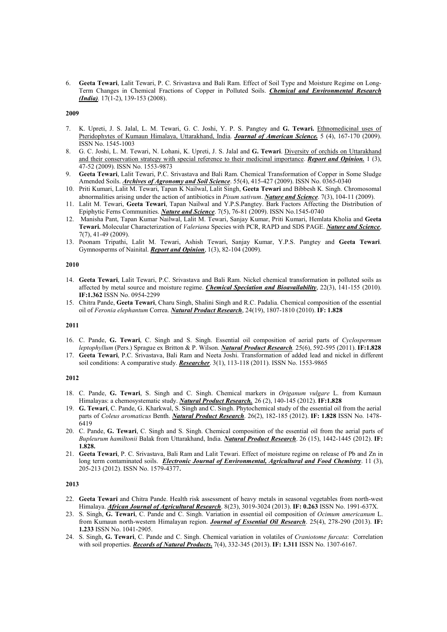6. Geeta Tewari, Lalit Tewari, P. C. Srivastava and Bali Ram. Effect of Soil Type and Moisture Regime on Long-Term Changes in Chemical Fractions of Copper in Polluted Soils. Chemical and Environmental Research (*India*). 17(1-2), 139-153 (2008).

# 2009

- 7. K. Upreti, J. S. Jalal, L. M. Tewari, G. C. Joshi, Y. P. S. Pangtey and G. Tewari. Ethnomedicinal uses of Pteridophytes of Kumaun Himalaya, Uttarakhand, India. Journal of American Science. 5 (4), 167-170 (2009). ISSN No. 1545-1003
- 8. G. C. Joshi, L. M. Tewari, N. Lohani, K. Upreti, J. S. Jalal and G. Tewari. Diversity of orchids on Uttarakhand and their conservation strategy with special reference to their medicinal importance. Report and Opinion. 1 (3), 47-52 (2009). ISSN No. 1553-9873
- 9. Geeta Tewari, Lalit Tewari, P.C. Srivastava and Bali Ram. Chemical Transformation of Copper in Some Sludge Amended Soils. Archives of Agronomy and Soil Science. 55(4), 415-427 (2009). ISSN No. 0365-0340
- 10. Priti Kumari, Lalit M. Tewari, Tapan K Nailwal, Lalit Singh, Geeta Tewari and Bibbesh K. Singh. Chromosomal abnormalities arising under the action of antibiotics in Pisum sativum. Nature and Science. 7(3), 104-11 (2009).
- 11. Lalit M. Tewari, Geeta Tewari, Tapan Nailwal and Y.P.S.Pangtey. Bark Factors Affecting the Distribution of Epiphytic Ferns Communities. Nature and Science. 7(5), 76-81 (2009). ISSN No.1545-0740
- 12. Manisha Pant, Tapan Kumar Nailwal, Lalit M. Tewari, Sanjay Kumar, Priti Kumari, Hemlata Kholia and Geeta Tewari. Molecular Characterization of Valeriana Species with PCR, RAPD and SDS PAGE. Nature and Science, 7(7), 41-49 (2009).
- 13. Poonam Tripathi, Lalit M. Tewari, Ashish Tewari, Sanjay Kumar, Y.P.S. Pangtey and Geeta Tewari. Gymnosperms of Nainital. **Report and Opinion**, 1(3), 82-104 (2009).

### 2010

- 14. Geeta Tewari, Lalit Tewari, P.C. Srivastava and Bali Ram. Nickel chemical transformation in polluted soils as affected by metal source and moisture regime. *Chemical Speciation and Bioavailability*, 22(3), 141-155 (2010). IF:1.362 ISSN No. 0954-2299
- 15. Chitra Pande, Geeta Tewari, Charu Singh, Shalini Singh and R.C. Padalia. Chemical composition of the essential oil of Feronia elephantum Correa. Natural Product Research, 24(19), 1807-1810 (2010). IF: 1.828

### 2011

- 16. C. Pande, G. Tewari, C. Singh and S. Singh. Essential oil composition of aerial parts of Cyclospermum leptophyllum (Pers.) Sprague ex Britton & P. Wilson. Natural Product Research. 25(6), 592-595 (2011). IF:1.828
- 17. Geeta Tewari, P.C. Srivastava, Bali Ram and Neeta Joshi. Transformation of added lead and nickel in different soil conditions: A comparative study. Researcher. 3(1), 113-118 (2011). ISSN No. 1553-9865

### 2012

- 18. C. Pande, G. Tewari, S. Singh and C. Singh. Chemical markers in Origanum vulgare L. from Kumaun Himalayas: a chemosystematic study. Natural Product Research. 26 (2), 140-145 (2012). IF:1.828
- 19. G. Tewari, C. Pande, G. Kharkwal, S. Singh and C. Singh. Phytochemical study of the essential oil from the aerial parts of Coleus aromaticus Benth. Natural Product Research. 26(2), 182-185 (2012). IF: 1.828 ISSN No. 1478-6419
- 20. C. Pande, G. Tewari, C. Singh and S. Singh. Chemical composition of the essential oil from the aerial parts of Bupleurum hamiltonii Balak from Uttarakhand, India. Natural Product Research. 26 (15), 1442-1445 (2012). IF: 1.828.
- 21. Geeta Tewari, P. C. Srivastava, Bali Ram and Lalit Tewari. Effect of moisture regime on release of Pb and Zn in long term contaminated soils. *Electronic Journal of Environmental, Agricultural and Food Chemistry*. 11 (3), 205-213 (2012). ISSN No. 1579-4377.

- 22. Geeta Tewari and Chitra Pande. Health risk assessment of heavy metals in seasonal vegetables from north-west Himalaya. African Journal of Agricultural Research. 8(23), 3019-3024 (2013). IF: 0.263 ISSN No. 1991-637X.
- 23. S. Singh, G. Tewari, C. Pande and C. Singh. Variation in essential oil composition of Ocimum americanum L. from Kumaun north-western Himalayan region. Journal of Essential Oil Research. 25(4), 278-290 (2013). IF: 1.233 ISSN No. 1041-2905.
- 24. S. Singh, G. Tewari, C. Pande and C. Singh. Chemical variation in volatiles of Craniotome furcata: Correlation with soil properties. Records of Natural Products. 7(4), 332-345 (2013). IF: 1.311 ISSN No. 1307-6167.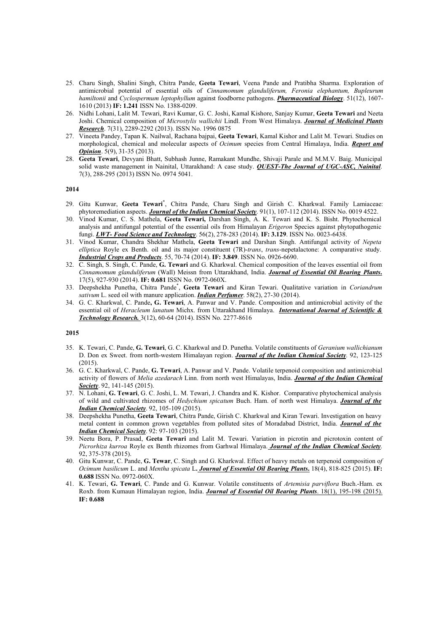- 25. Charu Singh, Shalini Singh, Chitra Pande, Geeta Tewari, Veena Pande and Pratibha Sharma. Exploration of antimicrobial potential of essential oils of Cinnamomum glanduliferum, Feronia elephantum, Bupleurum hamiltonii and Cyclospermum leptophyllum against foodborne pathogens. Pharmaceutical Biology. 51(12), 1607-1610 (2013) IF: 1.241 ISSN No. 1388-0209.
- 26. Nidhi Lohani, Lalit M. Tewari, Ravi Kumar, G. C. Joshi, Kamal Kishore, Sanjay Kumar, Geeta Tewari and Neeta Joshi. Chemical composition of Microstylis wallichii Lindl. From West Himalaya. Journal of Medicinal Plants Research. 7(31), 2289-2292 (2013). ISSN No. 1996 0875
- 27. Vineeta Pandey, Tapan K. Nailwal, Rachana bajpai, Geeta Tewari, Kamal Kishor and Lalit M. Tewari. Studies on morphological, chemical and molecular aspects of Ocimum species from Central Himalaya, India. Report and **Opinion**. 5(9), 31-35 (2013).
- 28. Geeta Tewari, Devyani Bhatt, Subhash Junne, Ramakant Mundhe, Shivaji Parale and M.M.V. Baig. Municipal solid waste management in Nainital, Uttarakhand: A case study. OUEST-The Journal of UGC-ASC, Nainital. 7(3), 288-295 (2013) ISSN No. 0974 5041.

- 29. Gitu Kunwar, Geeta Tewari\*, Chitra Pande, Charu Singh and Girish C. Kharkwal. Family Lamiaceae: phytoremediation aspects. Journal of the Indian Chemical Society. 91(1), 107-112 (2014). ISSN No. 0019 4522.
- 30. Vinod Kumar, C. S. Mathela, Geeta Tewari, Darshan Singh, A. K. Tewari and K. S. Bisht. Phytochemical analysis and antifungal potential of the essential oils from Himalayan Erigeron Species against phytopathogenic fungi. **LWT- Food Science and Technology**. 56(2), 278-283 (2014). IF: 3.129. ISSN No. 0023-6438.
- 31. Vinod Kumar, Chandra Shekhar Mathela, Geeta Tewari and Darshan Singh. Antifungal activity of Nepeta elliptica Royle ex Benth. oil and its major constituent (7R)-trans, trans-nepetalactone: A comparative study. **Industrial Crops and Products**. 55, 70-74 (2014). **IF: 3.849**. ISSN No. 0926-6690.
- 32. C. Singh, S. Singh, C. Pande, G. Tewari and G. Kharkwal. Chemical composition of the leaves essential oil from Cinnamomum glanduliferum (Wall) Meissn from Uttarakhand, India. Journal of Essential Oil Bearing Plants. 17(5), 927-930 (2014). IF: 0.681 ISSN No. 0972-060X.
- 33. Deepshekha Punetha, Chitra Pande<sup>\*</sup>, Geeta Tewari and Kiran Tewari. Qualitative variation in Coriandrum sativum L. seed oil with manure application. *Indian Perfumer*. 58(2), 27-30 (2014).
- 34. G. C. Kharkwal, C. Pande, G. Tewari, A. Panwar and V. Pande. Composition and antimicrobial activity of the essential oil of Heracleum lanatum Michx. from Uttarakhand Himalaya. International Journal of Scientific & Technology Research. 3(12), 60-64 (2014). ISSN No. 2277-8616

- 35. K. Tewari, C. Pande, G. Tewari, G. C. Kharkwal and D. Punetha. Volatile constituents of Geranium wallichianum D. Don ex Sweet. from north-western Himalayan region. Journal of the Indian Chemical Society. 92, 123-125 (2015).
- 36. G. C. Kharkwal, C. Pande, G. Tewari, A. Panwar and V. Pande. Volatile terpenoid composition and antimicrobial activity of flowers of Melia azedarach Linn. from north west Himalayas, India. Journal of the Indian Chemical Society. 92, 141-145 (2015).
- 37. N. Lohani, G. Tewari, G. C. Joshi, L. M. Tewari, J. Chandra and K. Kishor. Comparative phytochemical analysis of wild and cultivated rhizomes of Hedychium spicatum Buch. Ham. of north west Himalaya. Journal of the Indian Chemical Society. 92, 105-109 (2015).
- 38. Deepshekha Punetha, Geeta Tewari, Chitra Pande, Girish C. Kharkwal and Kiran Tewari. Investigation on heavy metal content in common grown vegetables from polluted sites of Moradabad District, India. Journal of the **Indian Chemical Society**. 92: 97-103 (2015).
- 39. Neetu Bora, P. Prasad, Geeta Tewari and Lalit M. Tewari. Variation in picrotin and picrotoxin content of Picrorhiza kurroa Royle ex Benth rhizomes from Garhwal Himalaya. Journal of the Indian Chemical Society. 92, 375-378 (2015).
- 40. Gitu Kunwar, C. Pande, G. Tewar, C. Singh and G. Kharkwal. Effect of heavy metals on terpenoid composition of Ocimum basilicum L. and Mentha spicata L. Journal of Essential Oil Bearing Plants. 18(4), 818-825 (2015). IF: 0.688 ISSN No. 0972-060X.
- 41. K. Tewari, G. Tewari, C. Pande and G. Kunwar. Volatile constituents of Artemisia parviflora Buch.-Ham. ex Roxb. from Kumaun Himalayan region, India. Journal of Essential Oil Bearing Plants. 18(1), 195-198 (2015). IF: 0.688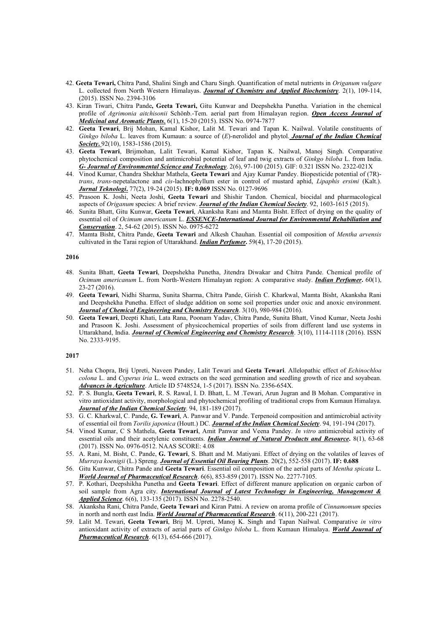- 42. Geeta Tewari, Chitra Pand, Shalini Singh and Charu Singh. Quantification of metal nutrients in Origanum vulgare L. collected from North Western Himalayas. Journal of Chemistry and Applied Biochemistry. 2(1), 109-114, (2015). ISSN No. 2394-3106
- 43. Kiran Tiwari, Chitra Pande, Geeta Tewari, Gitu Kunwar and Deepshekha Punetha. Variation in the chemical profile of Agrimonia aitchisonii Schönb.-Tem. aerial part from Himalayan region. Open Access Journal of Medicinal and Aromatic Plants, 6(1), 15-20 (2015). ISSN No. 0974-7877
- 42. Geeta Tewari, Brij Mohan, Kamal Kishor, Lalit M. Tewari and Tapan K. Nailwal. Volatile constituents of Ginkgo biloba L. leaves from Kumaun: a source of  $(E)$ -nerolidol and phytol. **Journal of the Indian Chemical** Society. 92(10), 1583-1586 (2015).
- 43. Geeta Tewari, Brijmohan, Lalit Tewari, Kamal Kishor, Tapan K. Nailwal, Manoj Singh. Comparative phytochemical composition and antimicrobial potential of leaf and twig extracts of Ginkgo biloba L. from India. G- Journal of Environmental Science and Technology. 2(6), 97-100 (2015). GIF: 0.321 ISSN No. 2322-021X
- 44. Vinod Kumar, Chandra Shekhar Mathela, Geeta Tewari and Ajay Kumar Pandey. Biopesticide potential of (7R) trans, trans-nepetalactone and cis-lachnophyllum ester in control of mustard aphid, Lipaphis ersimi (Kalt.). **Jurnal Teknologi.** 77(2), 19-24 (2015). IF: 0.069 ISSN No. 0127-9696
- 45. Prasoon K. Joshi, Neeta Joshi, Geeta Tewari and Shishir Tandon. Chemical, biocidal and pharmacological aspects of Origanum species: A brief review. Journal of the Indian Chemical Society. 92, 1603-1615 (2015).
- 46. Sunita Bhatt, Gitu Kunwar, Geeta Tewari, Akanksha Rani and Mamta Bisht. Effect of drying on the quality of essential oil of Ocimum americanum L. ESSENCE-International Journal for Environmental Rehabiliation and Conservation. 2, 54-62 (2015). ISSN No. 0975-6272
- 47. Mamta Bisht, Chitra Pande, Geeta Tewari and Alkesh Chauhan. Essential oil composition of Mentha arvensis cultivated in the Tarai region of Uttarakhand. *Indian Perfumer*. 59(4), 17-20 (2015).

- 48. Sunita Bhatt, Geeta Tewari, Deepshekha Punetha, Jitendra Diwakar and Chitra Pande. Chemical profile of Ocimum americanum L. from North-Western Himalayan region: A comparative study. *Indian Perfumer*. 60(1), 23-27 (2016).
- 49. Geeta Tewari, Nidhi Sharma, Sunita Sharma, Chitra Pande, Girish C. Kharkwal, Mamta Bisht, Akanksha Rani and Deepshekha Punetha. Effect of sludge addition on some soil properties under oxic and anoxic environment. **Journal of Chemical Engineering and Chemistry Research**. 3(10), 980-984 (2016).
- 50. Geeta Tewari, Deepti Khati, Lata Rana, Poonam Yadav, Chitra Pande, Sunita Bhatt, Vinod Kumar, Neeta Joshi and Prasoon K. Joshi. Assessment of physicochemical properties of soils from different land use systems in Uttarakhand, India. *Journal of Chemical Engineering and Chemistry Research*. 3(10), 1114-1118 (2016). ISSN No. 2333-9195.

- 51. Neha Chopra, Brij Upreti, Naveen Pandey, Lalit Tewari and Geeta Tewari. Allelopathic effect of Echinochloa colona L. and Cyperus iria L. weed extracts on the seed germination and seedling growth of rice and soyabean. Advances in Agriculture. Article ID 5748524, 1-5 (2017). ISSN No. 2356-654X.
- 52. P. S. Bungla, Geeta Tewari, R. S. Rawal, I. D. Bhatt, L. M .Tewari, Arun Jugran and B Mohan. Comparative in vitro antioxidant activity, morphological and phytochemical profiling of traditional crops from Kumaun Himalaya. Journal of the Indian Chemical Society. 94, 181-189 (2017).
- 53. G. C. Kharkwal, C. Pande, G. Tewari, A. Panwar and V. Pande. Terpenoid composition and antimicrobial activity of essential oil from Torilis japonica (Houtt.) DC. Journal of the Indian Chemical Society. 94, 191-194 (2017).
- 54. Vinod Kumar, C S Mathela, Geeta Tewari, Amit Panwar and Veena Pandey. In vitro antimicrobial activity of essential oils and their acetylenic constituents. Indian Journal of Natural Products and Resource. 8(1), 63-68 (2017). ISSN No. 0976-0512. NAAS SCORE: 4.08
- 55. A. Rani, M. Bisht, C. Pande, G. Tewari, S. Bhatt and M. Matiyani. Effect of drying on the volatiles of leaves of Murraya koenigii (L.) Spreng. *Journal of Essential Oil Bearing Plants*. 20(2), 552-558 (2017). IF: 0.688
- 56. Gitu Kunwar, Chitra Pande and Geeta Tewari. Essential oil composition of the aerial parts of Mentha spicata L. World Journal of Pharmaceutical Research. 6(6), 853-859 (2017). ISSN No. 2277-7105.
- 57. P. Kothari, Deepshikha Punetha and Geeta Tewari. Effect of different manure application on organic carbon of soil sample from Agra city. *International Journal of Latest Technology in Engineering, Management &* Applied Science. 6(6), 133-135 (2017). ISSN No. 2278-2540.
- 58. Akanksha Rani, Chitra Pande, Geeta Tewari and Kiran Patni. A review on aroma profile of Cinnamomum species in north and north east India. World Journal of Pharmaceutical Research. 6(11), 200-221 (2017).
- 59. Lalit M. Tewari, Geeta Tewari, Brij M. Upreti, Manoj K. Singh and Tapan Nailwal. Comparative in vitro antioxidant activity of extracts of aerial parts of Ginkgo biloba L. from Kumaun Himalaya. World Journal of Pharmaceutical Research. 6(13), 654-666 (2017).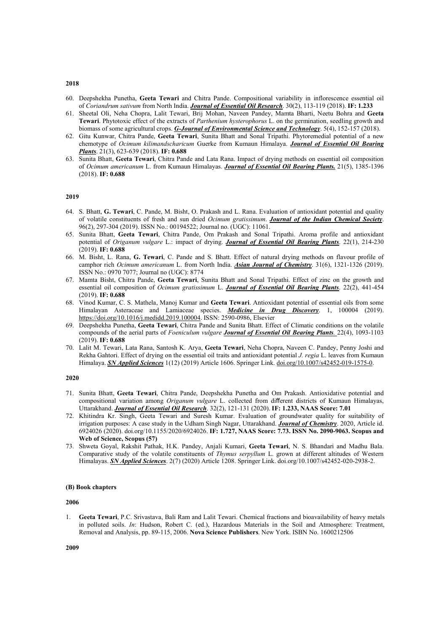- 60. Deepshekha Punetha, Geeta Tewari and Chitra Pande. Compositional variability in inflorescence essential oil of Coriandrum sativum from North India. **Journal of Essential Oil Research**. 30(2), 113-119 (2018). IF: 1.233
- 61. Sheetal Oli, Neha Chopra, Lalit Tewari, Brij Mohan, Naveen Pandey, Mamta Bharti, Neetu Bohra and Geeta Tewari. Phytotoxic effect of the extracts of Parthenium hysterophorus L. on the germination, seedling growth and biomass of some agricultural crops. G-Journal of Environmental Science and Technology, 5(4), 152-157 (2018).
- 62. Gitu Kunwar, Chitra Pande, Geeta Tewari, Sunita Bhatt and Sonal Tripathi. Phytoremedial potential of a new chemotype of Ocimum kilimandscharicum Guerke from Kumaun Himalaya. Journal of Essential Oil Bearing Plants. 21(3), 623-639 (2018). IF: 0.688
- 63. Sunita Bhatt, Geeta Tewari, Chitra Pande and Lata Rana. Impact of drying methods on essential oil composition of Ocimum americanum L. from Kumaun Himalayas. Journal of Essential Oil Bearing Plants. 21(5), 1385-1396 (2018). IF: 0.688

- 64. S. Bhatt, G. Tewari, C. Pande, M. Bisht, O. Prakash and L. Rana. Evaluation of antioxidant potential and quality of volatile constituents of fresh and sun dried Ocimum gratissimum. Journal of the Indian Chemical Society. 96(2), 297-304 (2019). ISSN No.: 00194522; Journal no. (UGC): 11061.
- 65. Sunita Bhatt, Geeta Tewari, Chitra Pande, Om Prakash and Sonal Tripathi. Aroma profile and antioxidant potential of Origanum vulgare L.: impact of drying. Journal of Essential Oil Bearing Plants. 22(1), 214-230 (2019). IF: 0.688
- 66. M. Bisht, L. Rana, G. Tewari, C. Pande and S. Bhatt. Effect of natural drying methods on flavour profile of camphor rich *Ocimum americanum* L. from North India. Asian Journal of Chemistry. 31(6), 1321-1326 (2019). ISSN No.: 0970 7077; Journal no (UGC): 8774
- 67. Mamta Bisht, Chitra Pande, Geeta Tewari, Sunita Bhatt and Sonal Tripathi. Effect of zinc on the growth and essential oil composition of Ocimum gratissimum L. Journal of Essential Oil Bearing Plants. 22(2), 441-454 (2019). IF: 0.688
- 68. Vinod Kumar, C. S. Mathela, Manoj Kumar and Geeta Tewari. Antioxidant potential of essential oils from some Himalayan Asteraceae and Lamiaceae species. *Medicine in Drug Discovery*. 1, 100004 (2019). https://doi.org/10.1016/j.medidd.2019.100004. ISSN: 2590-0986, Elsevier
- 69. Deepshekha Punetha, Geeta Tewari, Chitra Pande and Sunita Bhatt. Effect of Climatic conditions on the volatile compounds of the aerial parts of Foeniculum vulgare Journal of Essential Oil Bearing Plants. 22(4), 1093-1103 (2019). IF: 0.688
- 70. Lalit M. Tewari, Lata Rana, Santosh K. Arya, Geeta Tewari, Neha Chopra, Naveen C. Pandey, Penny Joshi and Rekha Gahtori. Effect of drying on the essential oil traits and antioxidant potential J. regia L. leaves from Kumaun Himalaya. SN Applied Sciences 1(12) (2019) Article 1606. Springer Link. doi.org/10.1007/s42452-019-1575-0.

#### 2020

- 71. Sunita Bhatt, Geeta Tewari, Chitra Pande, Deepshekha Punetha and Om Prakash. Antioxidative potential and compositional variation among Origanum vulgare L. collected from different districts of Kumaun Himalayas, Uttarakhand. Journal of Essential Oil Research. 32(2), 121-131 (2020). IF: 1.233, NAAS Score: 7.01
- 72. Khitindra Kr. Singh, Geeta Tewari and Suresh Kumar. Evaluation of groundwater quality for suitability of irrigation purposes: A case study in the Udham Singh Nagar, Uttarakhand. Journal of Chemistry. 2020, Article id. 6924026 (2020). doi.org/10.1155/2020/6924026. IF: 1.727, NAAS Score: 7.73. ISSN No. 2090-9063. Scopus and Web of Science, Scopus (57)
- 73. Shweta Goyal, Rakshit Pathak, H.K. Pandey, Anjali Kumari, Geeta Tewari, N. S. Bhandari and Madhu Bala. Comparative study of the volatile constituents of Thymus serpyllum L. grown at different altitudes of Western Himalayas. SN Applied Sciences. 2(7) (2020) Article 1208. Springer Link. doi.org/10.1007/s42452-020-2938-2.

### (B) Book chapters

### 2006

1. Geeta Tewari, P.C. Srivastava, Bali Ram and Lalit Tewari. Chemical fractions and bioavailability of heavy metals in polluted soils. In: Hudson, Robert C. (ed.), Hazardous Materials in the Soil and Atmosphere: Treatment, Removal and Analysis, pp. 89-115, 2006. Nova Science Publishers. New York. ISBN No. 1600212506

#### 2018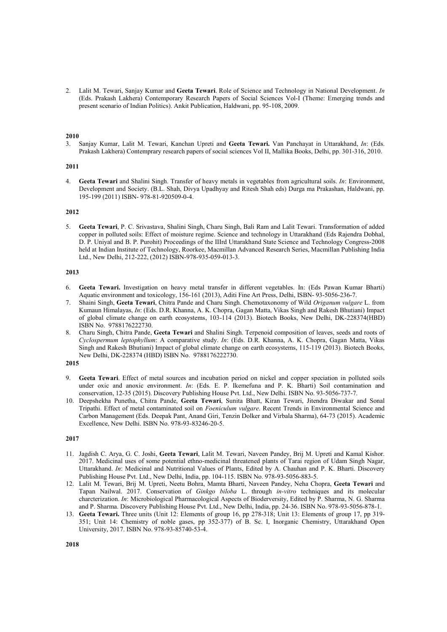2. Lalit M. Tewari, Sanjay Kumar and Geeta Tewari. Role of Science and Technology in National Development. In (Eds. Prakash Lakhera) Contemporary Research Papers of Social Sciences Vol-I (Theme: Emerging trends and present scenario of Indian Politics). Ankit Publication, Haldwani, pp. 95-108, 2009.

### 2010

3. Sanjay Kumar, Lalit M. Tewari, Kanchan Upreti and Geeta Tewari. Van Panchayat in Uttarakhand, In: (Eds. Prakash Lakhera) Contemprary research papers of social sciences Vol II, Mallika Books, Delhi, pp. 301-316, 2010.

### 2011

4. Geeta Tewari and Shalini Singh. Transfer of heavy metals in vegetables from agricultural soils. In: Environment, Development and Society. (B.L. Shah, Divya Upadhyay and Ritesh Shah eds) Durga ma Prakashan, Haldwani, pp. 195-199 (2011) ISBN- 978-81-920509-0-4.

### 2012

5. Geeta Tewari, P. C. Srivastava, Shalini Singh, Charu Singh, Bali Ram and Lalit Tewari. Transformation of added copper in polluted soils: Effect of moisture regime. Science and technology in Uttarakhand (Eds Rajendra Dobhal, D. P. Uniyal and B. P. Purohit) Proceedings of the IIIrd Uttarakhand State Science and Technology Congress-2008 held at Indian Institute of Technology, Roorkee, Macmillan Advanced Research Series, Macmillan Publishing India Ltd., New Delhi, 212-222, (2012) ISBN-978-935-059-013-3.

### 2013

- 6. Geeta Tewari. Investigation on heavy metal transfer in different vegetables. In: (Eds Pawan Kumar Bharti) Aquatic environment and toxicology, 156-161 (2013), Aditi Fine Art Press, Delhi, ISBN- 93-5056-236-7.
- 7. Shaini Singh, Geeta Tewari, Chitra Pande and Charu Singh. Chemotaxonomy of Wild Origanum vulgare L. from Kumaun Himalayas, In: (Eds. D.R. Khanna, A. K. Chopra, Gagan Matta, Vikas Singh and Rakesh Bhutiani) Impact of global climate change on earth ecosystems, 103-114 (2013). Biotech Books, New Delhi, DK-228374(HBD) ISBN No. 9788176222730.
- 8. Charu Singh, Chitra Pande, Geeta Tewari and Shalini Singh. Terpenoid composition of leaves, seeds and roots of Cyclospermum leptophyllum: A comparative study. In: (Eds. D.R. Khanna, A. K. Chopra, Gagan Matta, Vikas Singh and Rakesh Bhutiani) Impact of global climate change on earth ecosystems, 115-119 (2013). Biotech Books, New Delhi, DK-228374 (HBD) ISBN No. 9788176222730.

# 2015

- 9. Geeta Tewari. Effect of metal sources and incubation period on nickel and copper speciation in polluted soils under oxic and anoxic environment. In: (Eds. E. P. Ikemefuna and P. K. Bharti) Soil contamination and conservation, 12-35 (2015). Discovery Publishing House Pvt. Ltd., New Delhi. ISBN No. 93-5056-737-7.
- 10. Deepshekha Punetha, Chitra Pande, Geeta Tewari, Sunita Bhatt, Kiran Tewari, Jitendra Diwakar and Sonal Tripathi. Effect of metal contaminated soil on Foeniculum vulgare. Recent Trends in Environmental Science and Carbon Management (Eds. Deepak Pant, Anand Giri, Tenzin Dolker and Virbala Sharma), 64-73 (2015). Academic Excellence, New Delhi. ISBN No. 978-93-83246-20-5.

- 11. Jagdish C. Arya, G. C. Joshi, Geeta Tewari, Lalit M. Tewari, Naveen Pandey, Brij M. Upreti and Kamal Kishor. 2017. Medicinal uses of some potential ethno-medicinal threatened plants of Tarai region of Udam Singh Nagar, Uttarakhand. In: Medicinal and Nutritional Values of Plants, Edited by A. Chauhan and P. K. Bharti. Discovery Publishing House Pvt. Ltd., New Delhi, India, pp. 104-115. ISBN No. 978-93-5056-883-5.
- 12. Lalit M. Tewari, Brij M. Upreti, Neetu Bohra, Mamta Bharti, Naveen Pandey, Neha Chopra, Geeta Tewari and Tapan Nailwal. 2017. Conservation of Ginkgo biloba L. through in-vitro techniques and its molecular charcterization. In: Microbiological Pharmacological Aspects of Bioderversity, Edited by P. Sharma, N. G. Sharma and P. Sharma. Discovery Publishing House Pvt. Ltd., New Delhi, India, pp. 24-36. ISBN No. 978-93-5056-878-1.
- 13. Geeta Tewari. Three units (Unit 12: Elements of group 16, pp 278-318; Unit 13: Elements of group 17, pp 319- 351; Unit 14: Chemistry of noble gases, pp 352-377) of B. Sc. I, Inorganic Chemistry, Uttarakhand Open University, 2017. ISBN No. 978-93-85740-53-4.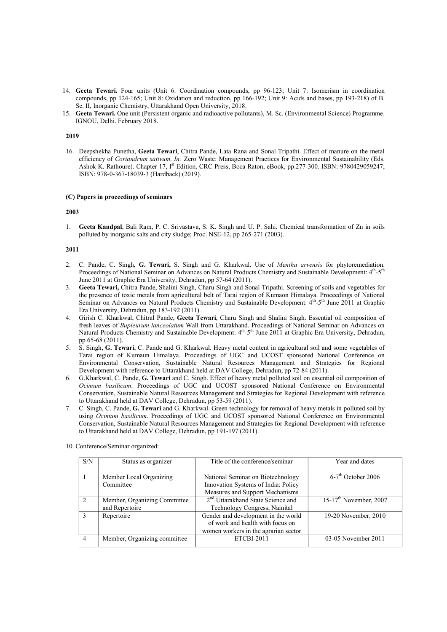- 14. Geeta Tewari. Four units (Unit 6: Coordination compounds, pp 96-123; Unit 7: Isomerism in coordination compounds, pp 124-165; Unit 8: Oxidation and reduction, pp 166-192; Unit 9: Acids and bases, pp 193-218) of B. Sc. II, Inorganic Chemistry, Uttarakhand Open University, 2018.
- 15. Geeta Tewari. One unit (Persistent organic and radioactive pollutants), M. Sc. (Environmental Science) Programme. IGNOU, Delhi. February 2018.

16. Deepshekha Punetha, Geeta Tewari, Chitra Pande, Lata Rana and Sonal Tripathi. Effect of manure on the metal efficiency of Coriandrum sativum. In: Zero Waste: Management Practices for Environmental Sustainability (Eds. Ashok K. Rathoure). Chapter 17, I<sup>st</sup> Edition, CRC Press, Boca Raton, eBook, pp.277-300. ISBN: 9780429059247; ISBN: 978-0-367-18039-3 (Hardback) (2019).

### (C) Papers in proceedings of seminars

# 2003

1. Geeta Kandpal, Bali Ram, P. C. Srivastava, S. K. Singh and U. P. Sahi. Chemical transformation of Zn in soils polluted by inorganic salts and city sludge; Proc. NSE-12, pp 265-271 (2003).

### 2011

- 2. C. Pande, C. Singh, G. Tewari, S. Singh and G. Kharkwal. Use of Mentha arvensis for phytoremediation. Proceedings of National Seminar on Advances on Natural Products Chemistry and Sustainable Development:  $4<sup>th</sup>$ -5<sup>th</sup> June 2011 at Graphic Era University, Dehradun, pp 57-64 (2011).
- 3. Geeta Tewari, Chitra Pande, Shalini Singh, Charu Singh and Sonal Tripathi. Screening of soils and vegetables for the presence of toxic metals from agricultural belt of Tarai region of Kumaon Himalaya. Proceedings of National Seminar on Advances on Natural Products Chemistry and Sustainable Development: 4<sup>th</sup>-5<sup>th</sup> June 2011 at Graphic Era University, Dehradun, pp 183-192 (2011).
- 4. Girish C. Kharkwal, Chitral Pande, Geeta Tewari, Charu Singh and Shalini Singh. Essential oil composition of fresh leaves of Bupleurum lanceolatum Wall from Uttarakhand. Proceedings of National Seminar on Advances on Natural Products Chemistry and Sustainable Development: 4<sup>th</sup>-5<sup>th</sup> June 2011 at Graphic Era University, Dehradun, pp 65-68 (2011).
- 5. S. Singh, G. Tewari, C. Pande and G. Kharkwal. Heavy metal content in agricultural soil and some vegetables of Tarai region of Kumaun Himalaya. Proceedings of UGC and UCOST sponsored National Conference on Environmental Conservation, Sustainable Natural Resources Management and Strategies for Regional Development with reference to Uttarakhand held at DAV College, Dehradun, pp 72-84 (2011).
- 6. G.Kharkwal, C. Pande, G. Tewari and C. Singh. Effect of heavy metal polluted soil on essential oil composition of Ocimum basilicum. Proceedings of UGC and UCOST sponsored National Conference on Environmental Conservation, Sustainable Natural Resources Management and Strategies for Regional Development with reference to Uttarakhand held at DAV College, Dehradun, pp 53-59 (2011).
- 7. C. Singh, C. Pande, G. Tewari and G. Kharkwal. Green technology for removal of heavy metals in polluted soil by using Ocimum basilicum. Proceedings of UGC and UCOST sponsored National Conference on Environmental Conservation, Sustainable Natural Resources Management and Strategies for Regional Development with reference to Uttarakhand held at DAV College, Dehradun, pp 191-197 (2011).

| S/N | Status as organizer          | Title of the conference/seminar               | Year and dates                     |
|-----|------------------------------|-----------------------------------------------|------------------------------------|
|     | Member Local Organizing      | National Seminar on Biotechnology             | $6-7$ <sup>th</sup> October 2006   |
|     | Committee                    | Innovation Systems of India: Policy           |                                    |
|     |                              | Measures and Support Mechanisms               |                                    |
| 2   | Member, Organizing Committee | 2 <sup>nd</sup> Uttarakhand State Science and | $15-17^{\text{th}}$ November, 2007 |
|     | and Repertoire               | Technology Congress, Nainital                 |                                    |
| 3   | Repertoire                   | Gender and development in the world           | 19-20 November, 2010               |
|     |                              | of work and health with focus on              |                                    |
|     |                              | women workers in the agrarian sector          |                                    |
| 4   | Member, Organizing committee | ETCBI-2011                                    | 03-05 November 2011                |
|     |                              |                                               |                                    |

10. Conference/Seminar organized: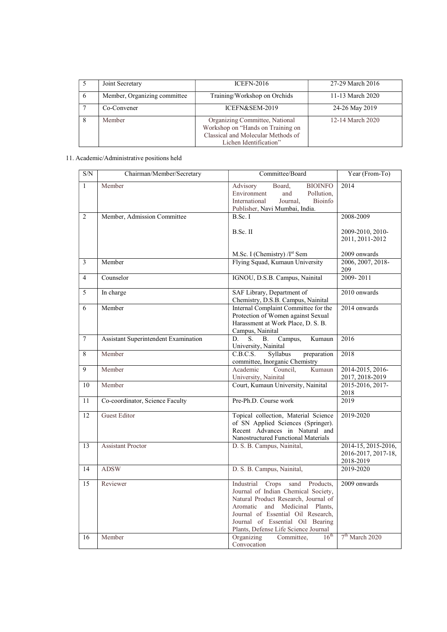|   | Joint Secretary              | <b>ICEFN-2016</b>                                                                                                                   | 27-29 March 2016 |
|---|------------------------------|-------------------------------------------------------------------------------------------------------------------------------------|------------------|
| 6 | Member, Organizing committee | Training/Workshop on Orchids                                                                                                        | 11-13 March 2020 |
|   | Co-Convener                  | ICEFN&SEM-2019                                                                                                                      | 24-26 May 2019   |
|   | Member                       | Organizing Committee, National<br>Workshop on "Hands on Training on<br>Classical and Molecular Methods of<br>Lichen Identification" | 12-14 March 2020 |

# 11. Academic/Administrative positions held

| $\ensuremath{\mathrm{S/N}}$ | Chairman/Member/Secretary            | Committee/Board                                                                                                                                                                                                                                                             | Year (From-To)                                          |
|-----------------------------|--------------------------------------|-----------------------------------------------------------------------------------------------------------------------------------------------------------------------------------------------------------------------------------------------------------------------------|---------------------------------------------------------|
| $\mathbf{1}$                | Member                               | <b>BIOINFO</b><br>Advisory<br>Board.<br>Environment<br>and<br>Pollution.<br>International<br>Journal,<br>Bioinfo<br>Publisher, Navi Mumbai, India.                                                                                                                          | 2014                                                    |
| 2                           | Member, Admission Committee          | B.Sc. I                                                                                                                                                                                                                                                                     | 2008-2009                                               |
|                             |                                      | B.Sc. II                                                                                                                                                                                                                                                                    | 2009-2010, 2010-<br>2011, 2011-2012                     |
|                             |                                      | M.Sc. I (Chemistry) /I <sup>st</sup> Sem                                                                                                                                                                                                                                    | 2009 onwards                                            |
| $\overline{3}$              | Member                               | Flying Squad, Kumaun University                                                                                                                                                                                                                                             | 2006, 2007, 2018-<br>209                                |
| $\overline{4}$              | Counselor                            | IGNOU, D.S.B. Campus, Nainital                                                                                                                                                                                                                                              | 2009-2011                                               |
| 5                           | In charge                            | SAF Library, Department of<br>Chemistry, D.S.B. Campus, Nainital                                                                                                                                                                                                            | 2010 onwards                                            |
| 6                           | Member                               | Internal Complaint Committee for the<br>Protection of Women against Sexual<br>Harassment at Work Place, D. S. B.<br>Campus, Nainital                                                                                                                                        | 2014 onwards                                            |
| $\overline{7}$              | Assistant Superintendent Examination | S.<br>Campus,<br>Kumaun<br>D.<br><b>B.</b><br>University, Nainital                                                                                                                                                                                                          | 2016                                                    |
| 8                           | Member                               | Syllabus<br>C.B.C.S.<br>preparation<br>committee, Inorganic Chemistry                                                                                                                                                                                                       | 2018                                                    |
| 9                           | Member                               | Academic<br>Council,<br>Kumaun<br>University, Nainital                                                                                                                                                                                                                      | 2014-2015, 2016-<br>2017, 2018-2019                     |
| 10                          | Member                               | Court, Kumaun University, Nainital                                                                                                                                                                                                                                          | 2015-2016, 2017-<br>2018                                |
| 11                          | Co-coordinator, Science Faculty      | Pre-Ph.D. Course work                                                                                                                                                                                                                                                       | 2019                                                    |
| 12                          | <b>Guest Editor</b>                  | Topical collection, Material Science<br>of SN Applied Sciences (Springer).<br>Recent Advances in Natural and<br>Nanostructured Functional Materials                                                                                                                         | 2019-2020                                               |
| 13                          | <b>Assistant Proctor</b>             | D. S. B. Campus, Nainital,                                                                                                                                                                                                                                                  | 2014-15, 2015-2016,<br>2016-2017, 2017-18,<br>2018-2019 |
| 14                          | <b>ADSW</b>                          | D. S. B. Campus, Nainital,                                                                                                                                                                                                                                                  | 2019-2020                                               |
| 15                          | Reviewer                             | Industrial<br>Crops<br>sand<br>Products,<br>Journal of Indian Chemical Society,<br>Natural Product Research, Journal of<br>Aromatic and Medicinal Plants,<br>Journal of Essential Oil Research,<br>Journal of Essential Oil Bearing<br>Plants, Defense Life Science Journal | 2009 onwards                                            |
| 16                          | Member                               | $16^{\text{th}}$<br>Organizing<br>Committee,<br>Convocation                                                                                                                                                                                                                 | 7 <sup>th</sup> March 2020                              |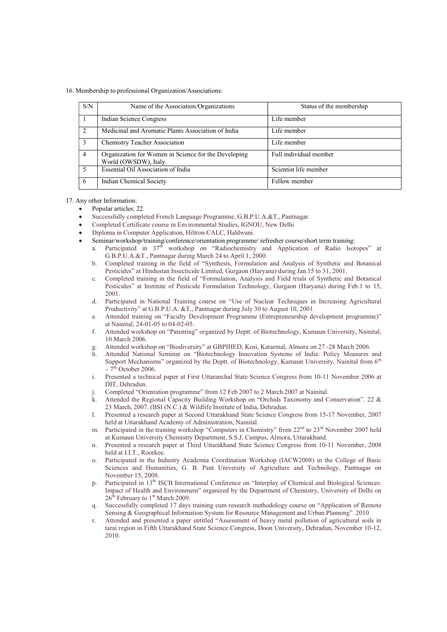16. Membership to professional Organization/Associations:

| S/N            | Name of the Association/Organizations                                        | Status of the membership |
|----------------|------------------------------------------------------------------------------|--------------------------|
|                | Indian Science Congress                                                      | Life member              |
| 2              | Medicinal and Aromatic Plants Association of India                           | Life member              |
| 3              | <b>Chemistry Teacher Association</b>                                         | Life member              |
| $\overline{4}$ | Organization for Women in Science for the Developing<br>World (OWSDW), Italy | Full individual member   |
| .5             | Essential Oil Association of India                                           | Scientist life member    |
| -6             | Indian Chemical Society                                                      | Fellow member            |

### 17. Any other Information:

- Popular articles: 22
- Successfully completed French Language Programme, G.B.P.U.A.&T., Pantnagar.
- Completed Certificate course in Environmental Studies, IGNOU, New Delhi
- Diploma in Computer Application, Hiltron CALC, Haldwani.
- Seminar/workshop/training/conference/orientation programme/ refresher course/short term training:
	- a. Participated in  $37<sup>th</sup>$  workshop on "Radiochemistry and Application of Radio Isotopes" at G.B.P.U.A.&T., Pantnagar during March 24 to April 1, 2000.
	- b. Completed training in the field of "Synthesis, Formulation and Analysis of Synthetic and Botanical Pesticides" at Hindustan Insecticide Limited, Gurgaon (Haryana) during Jan.15 to 31, 2001.
	- c. Completed training in the field of "Formulation, Analysis and Field trials of Synthetic and Botanical Pesticides" at Institute of Pesticide Formulation Technology, Gurgaon (Haryana) during Feb.1 to 15, 2001.
	- d. Participated in National Training course on "Use of Nuclear Techniques in Increasing Agricultural Productivity" at G.B.P.U.A. &T., Pantnagar during July 30 to August 10, 2001.
	- e. Attended training on "Faculty Development Programme (Entrepreneurship development programme)" at Nainital, 24-01-05 to 04-02-05.
	- f. Attended workshop on "Patenting" organized by Deptt. of Biotechnology, Kumaun University, Nainital, 10 March 2006.
	- g. Attended workshop on "Biodiversity" at GBPIHED, Kosi, Katarmal, Almora on 27 -28 March 2006.
	- h. Attended National Seminar on "Biotechnology Innovation Systems of India: Policy Measures and Support Mechanisms" organized by the Deptt. of Biotechnology, Kumaun University, Nainital from 6<sup>th</sup>  $-7<sup>th</sup>$  October 2006.
	- i. Presented a technical paper at First Uttaranchal State Science Congress from 10-11 November 2006 at DIT, Dehradun.
	- Completed "Orientation programme" from 12 Feb 2007 to 2 March 2007 at Nainital.
	- k. Attended the Regional Capacity Building Workshop on "Orchids Taxonomy and Conservation". 22 & 23 March, 2007. (BSI (N.C.) & Wildlife Institute of India, Dehradun.
	- l. Presented a research paper at Second Uttarakhand State Science Congress from 15-17 November, 2007 held at Uttarakhand Academy of Administration, Nainital.
	- m. Participated in the training workshop "Computers in Chemistry" from  $22<sup>nd</sup>$  to  $23<sup>rd</sup>$  November 2007 held at Kumaun University Chemistry Department, S.S.J. Campus, Almora, Uttarakhand.
	- n. Presented a research paper at Third Uttarakhand State Science Congress from 10-11 November, 2008 held at I.I.T., Roorkee.
	- o. Participated in the Industry Academia Coordination Workshop (IACW2008) in the College of Basic Sciences and Humanities, G. B. Pant University of Agriculture and Technology, Pantnagar on November 15, 2008.
	- p. Participated in 13<sup>th</sup> ISCB International Conference on "Interplay of Chemical and Biological Sciences: Impact of Health and Environment" organized by the Department of Chemistry, University of Delhi on 26<sup>th</sup> February to 1<sup>st</sup> March 2009.
	- q. Successfully completed 17 days training cum research methodology course on "Application of Remote Sensing & Geographical Information System for Resource Management and Urban Planning". 2010
	- r. Attended and presented a paper entitled "Assessment of heavy metal pollution of agricultural soils in tarai region in Fifth Uttarakhand State Science Congress, Doon University, Dehradun, November 10-12, 2010.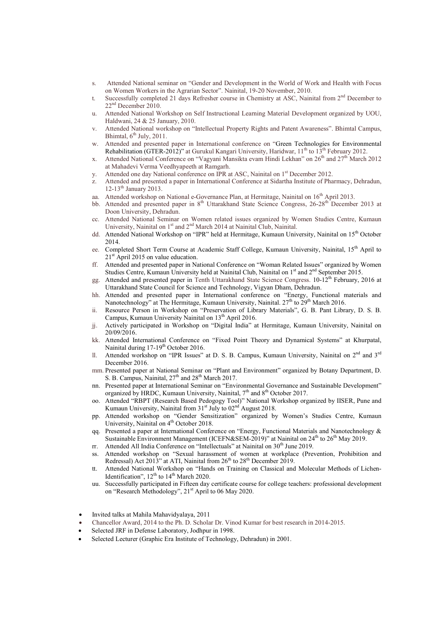- s. Attended National seminar on "Gender and Development in the World of Work and Health with Focus on Women Workers in the Agrarian Sector". Nainital, 19-20 November, 2010.
- t. Successfully completed 21 days Refresher course in Chemistry at ASC, Nainital from 2<sup>nd</sup> December to 22nd December 2010.
- u. Attended National Workshop on Self Instructional Learning Material Development organized by UOU, Haldwani, 24 & 25 January, 2010.
- v. Attended National workshop on "Intellectual Property Rights and Patent Awareness". Bhimtal Campus, Bhimtal,  $6^{th}$  July, 2011.
- w. Attended and presented paper in International conference on "Green Technologies for Environmental Rehabilitation (GTER-2012)" at Gurukul Kangari University, Haridwar,  $11^{th}$  to  $13^{th}$  February 2012.
- x. Attended National Conference on "Vagyani Mansikta evam Hindi Lekhan" on 26<sup>th</sup> and 27<sup>th</sup> March 2012 at Mahadevi Verma Veedhyapeeth at Ramgarh.
- y. Attended one day National conference on IPR at ASC, Nainital on 1<sup>st</sup> December 2012.
- z. Attended and presented a paper in International Conference at Sidartha Institute of Pharmacy, Dehradun, 12-13<sup>th</sup> January 2013.
- aa. Attended workshop on National e-Governance Plan, at Hermitage, Nainital on 16th April 2013.
- bb. Attended and presented paper in 8<sup>th</sup> Uttarakhand State Science Congress, 26-28<sup>th</sup> December 2013 at Doon University, Dehradun.
- cc. Attended National Seminar on Women related issues organized by Women Studies Centre, Kumaun University, Nainital on 1<sup>st</sup> and 2<sup>nd</sup> March 2014 at Nainital Club, Nainital.
- dd. Attended National Workshop on "IPR" held at Hermitage, Kumaun University, Nainital on 15th October 2014.
- ee. Completed Short Term Course at Academic Staff College, Kumaun University, Nainital, 15<sup>th</sup> April to  $21<sup>st</sup>$  April 2015 on value education.
- ff. Attended and presented paper in National Conference on "Woman Related Issues" organized by Women Studies Centre, Kumaun University held at Nainital Club, Nainital on 1<sup>st</sup> and 2<sup>nd</sup> September 2015.
- gg. Attended and presented paper in Tenth Uttarakhand State Science Congress.  $10\text{-}12^\text{th}$  February, 2016 at Uttarakhand State Council for Science and Technology, Vigyan Dham, Dehradun.
- hh. Attended and presented paper in International conference on "Energy, Functional materials and Nanotechnology" at The Hermitage, Kumaun University, Nainital. 27<sup>th</sup> to 29<sup>th</sup> March 2016.
- ii. Resource Person in Workshop on "Preservation of Library Materials", G. B. Pant Library, D. S. B. Campus, Kumaun University Nainital on 13<sup>th</sup> April 2016.
- jj. Actively participated in Workshop on "Digital India" at Hermitage, Kumaun University, Nainital on 20/09/2016.
- kk. Attended International Conference on "Fixed Point Theory and Dynamical Systems" at Khurpatal, Nainital during  $17-19^{th}$  October 2016.
- ll. Attended workshop on "IPR Issues" at D. S. B. Campus, Kumaun University, Nainital on  $2^{nd}$  and  $3^{rd}$ December 2016.
- mm. Presented paper at National Seminar on "Plant and Environment" organized by Botany Department, D. S. B. Campus, Nainital,  $27<sup>th</sup>$  and  $28<sup>th</sup>$  March 2017.
- nn. Presented paper at International Seminar on "Environmental Governance and Sustainable Development" organized by HRDC, Kumaun University, Nainital, 7<sup>th</sup> and 8<sup>th</sup> October 2017.
- oo. Attended "RBPT (Research Based Pedogogy Tool)" National Workshop organized by IISER, Pune and Kumaun University, Nainital from  $31<sup>st</sup>$  July to  $02<sup>nd</sup>$  August 2018.
- pp. Attended workshop on "Gender Sensitization" organized by Women's Studies Centre, Kumaun University, Nainital on 4<sup>th</sup> October 2018.
- qq. Presented a paper at International Conference on "Energy, Functional Materials and Nanotechnology & Sustainable Environment Management (ICEFN&SEM-2019)" at Nainital on 24<sup>th</sup> to 26<sup>th</sup> May 2019.
- rr. Attended All India Conference on "Intellectuals" at Nainital on 30<sup>th</sup> June 2019.
- ss. Attended workshop on "Sexual harassment of women at workplace (Prevention, Prohibition and Redressal) Act 2013" at ATI, Nainital from 26<sup>th</sup> to 28<sup>th</sup> December 2019.
- tt. Attended National Workshop on "Hands on Training on Classical and Molecular Methods of Lichen-Identification",  $12<sup>th</sup>$  to  $14<sup>th</sup>$  March 2020.
- uu. Successfully participated in Fifteen day certificate course for college teachers: professional development on "Research Methodology", 21<sup>st</sup> April to 06 May 2020.
- Invited talks at Mahila Mahavidyalaya, 2011
- Chancellor Award, 2014 to the Ph. D. Scholar Dr. Vinod Kumar for best research in 2014-2015.
- Selected JRF in Defense Laboratory, Jodhpur in 1998.
- Selected Lecturer (Graphic Era Institute of Technology, Dehradun) in 2001.